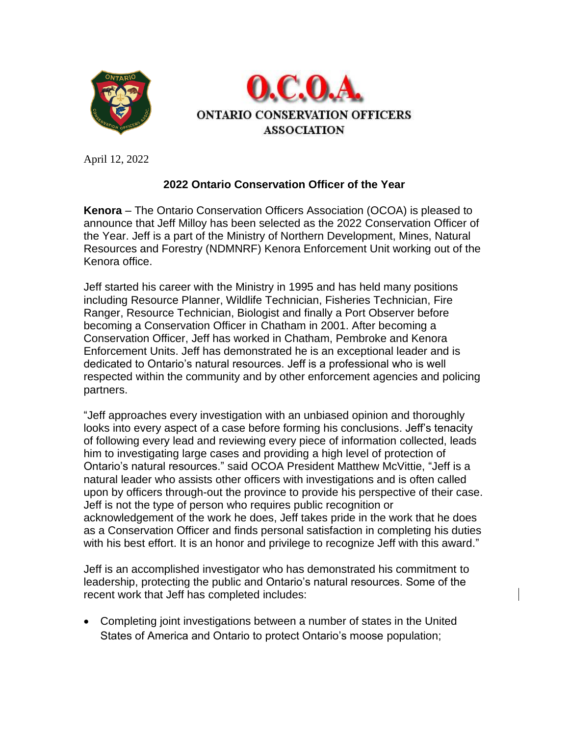



April 12, 2022

## **2022 Ontario Conservation Officer of the Year**

**Kenora** – The Ontario Conservation Officers Association (OCOA) is pleased to announce that Jeff Milloy has been selected as the 2022 Conservation Officer of the Year. Jeff is a part of the Ministry of Northern Development, Mines, Natural Resources and Forestry (NDMNRF) Kenora Enforcement Unit working out of the Kenora office.

Jeff started his career with the Ministry in 1995 and has held many positions including Resource Planner, Wildlife Technician, Fisheries Technician, Fire Ranger, Resource Technician, Biologist and finally a Port Observer before becoming a Conservation Officer in Chatham in 2001. After becoming a Conservation Officer, Jeff has worked in Chatham, Pembroke and Kenora Enforcement Units. Jeff has demonstrated he is an exceptional leader and is dedicated to Ontario's natural resources. Jeff is a professional who is well respected within the community and by other enforcement agencies and policing partners.

"Jeff approaches every investigation with an unbiased opinion and thoroughly looks into every aspect of a case before forming his conclusions. Jeff's tenacity of following every lead and reviewing every piece of information collected, leads him to investigating large cases and providing a high level of protection of Ontario's natural resources." said OCOA President Matthew McVittie, "Jeff is a natural leader who assists other officers with investigations and is often called upon by officers through-out the province to provide his perspective of their case. Jeff is not the type of person who requires public recognition or acknowledgement of the work he does, Jeff takes pride in the work that he does as a Conservation Officer and finds personal satisfaction in completing his duties with his best effort. It is an honor and privilege to recognize Jeff with this award."

Jeff is an accomplished investigator who has demonstrated his commitment to leadership, protecting the public and Ontario's natural resources. Some of the recent work that Jeff has completed includes:

• Completing joint investigations between a number of states in the United States of America and Ontario to protect Ontario's moose population;